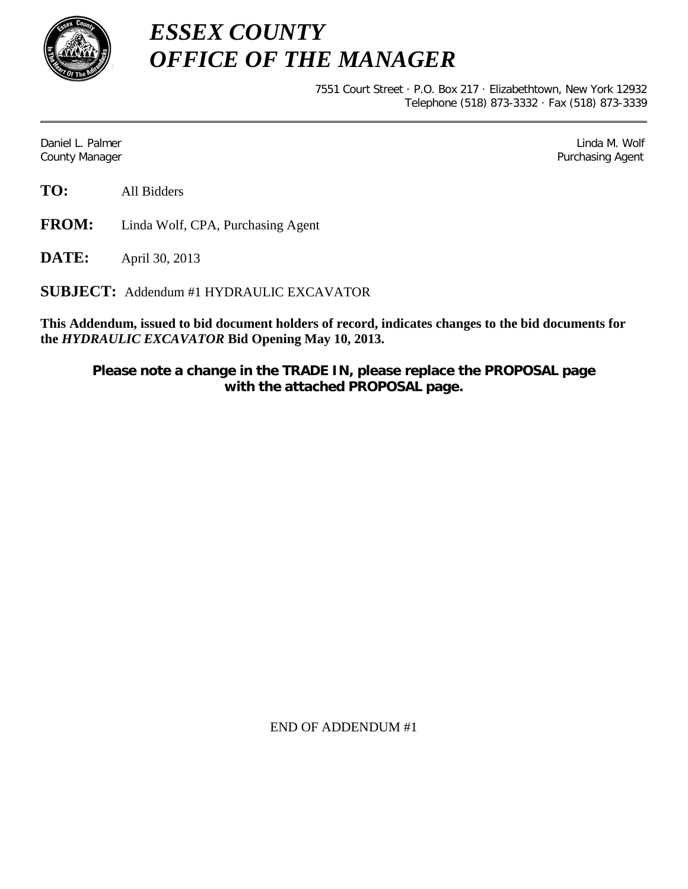

*ESSEX COUNTY OFFICE OF THE MANAGER*

> 7551 Court Street · P.O. Box 217 · Elizabethtown, New York 12932 Telephone (518) 873-3332 · Fax (518) 873-3339

Daniel L. Palmer Later and the control of the control of the control of the control of the control of the control of the control of the control of the control of the control of the control of the control of the control of County Manager Purchasing Agent

**TO:** All Bidders

**FROM:** Linda Wolf, CPA, Purchasing Agent

**DATE:** April 30, 2013

**SUBJECT:** Addendum #1 HYDRAULIC EXCAVATOR

**This Addendum, issued to bid document holders of record, indicates changes to the bid documents for the** *HYDRAULIC EXCAVATOR* **Bid Opening May 10, 2013.**

**Please note a change in the TRADE IN, please replace the PROPOSAL page with the attached PROPOSAL page.**

END OF ADDENDUM #1